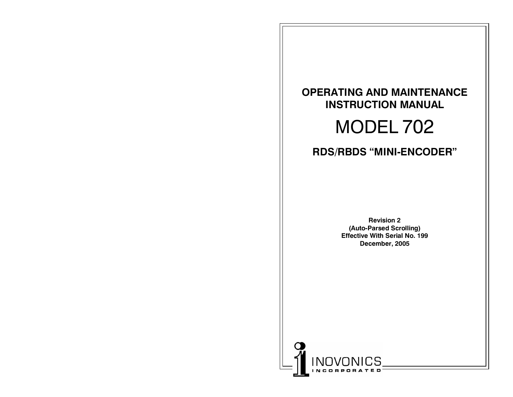## **OPERATING AND MAINTENANCE INSTRUCTION MANUAL**

## MODEL 702

## **RDS/RBDS MINI-ENCODER**

**Revision 2 (Auto-Parsed Scrolling) Effective With Serial No. 199 December, 2005**

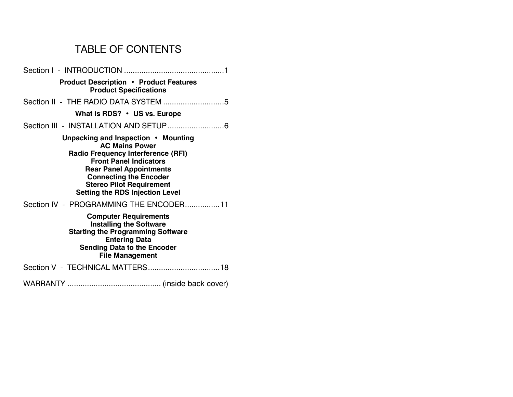## TABLE OF CONTENTS

| <b>Product Description • Product Features</b><br><b>Product Specifications</b>                                                                                                                                                                                                             |
|--------------------------------------------------------------------------------------------------------------------------------------------------------------------------------------------------------------------------------------------------------------------------------------------|
|                                                                                                                                                                                                                                                                                            |
| What is RDS? • US vs. Europe                                                                                                                                                                                                                                                               |
|                                                                                                                                                                                                                                                                                            |
| Unpacking and Inspection • Mounting<br><b>AC Mains Power</b><br><b>Radio Frequency Interference (RFI)</b><br><b>Front Panel Indicators</b><br><b>Rear Panel Appointments</b><br><b>Connecting the Encoder</b><br><b>Stereo Pilot Requirement</b><br><b>Setting the RDS Injection Level</b> |
| Section IV - PROGRAMMING THE ENCODER11                                                                                                                                                                                                                                                     |
| <b>Computer Requirements</b><br><b>Installing the Software</b><br><b>Starting the Programming Software</b><br><b>Entering Data</b><br><b>Sending Data to the Encoder</b><br><b>File Management</b>                                                                                         |
|                                                                                                                                                                                                                                                                                            |
|                                                                                                                                                                                                                                                                                            |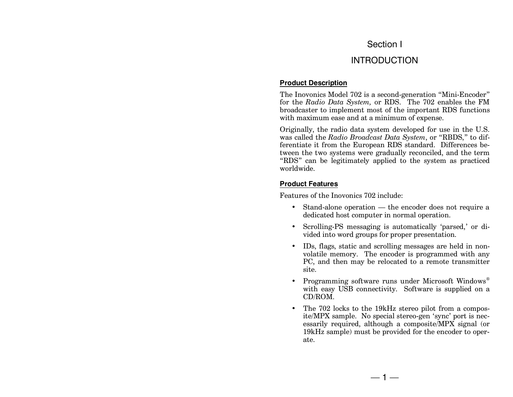#### Section I

### INTRODUCTION

#### **Product Description**

The Inovonics Model 702 is a second-generation "Mini-Encoder" for the *Radio Data System,* or RDS. The 702 enables the FM broadcaster to implement most of the important RDS functions with maximum ease and at a minimum of expense.

Originally, the radio data system developed for use in the U.S. was called the *Radio Broadcast Data System*, or "RBDS," to differentiate it from the European RDS standard. Differences between the two systems were gradually reconciled, and the term "RDS" can be legitimately applied to the system as practiced worldwide.

#### **Product Features**

Features of the Inovonics 702 include:

- Stand-alone operation  $-$  the encoder does not require a dedicated host computer in normal operation.
- Scrolling-PS messaging is automatically 'parsed,' or divided into word groups for proper presentation.
- IDs, flags, static and scrolling messages are held in nonvolatile memory. The encoder is programmed with any PC, and then may be relocated to a remote transmitter site.
- Programming software runs under Microsoft Windows<sup>®</sup> with easy USB connectivity. Software is supplied on a CD/ROM.
- The 702 locks to the 19kHz stereo pilot from a composite/MPX sample. No special stereo-gen 'sync' port is necessarily required, although a composite/MPX signal (or 19kHz sample) must be provided for the encoder to operate.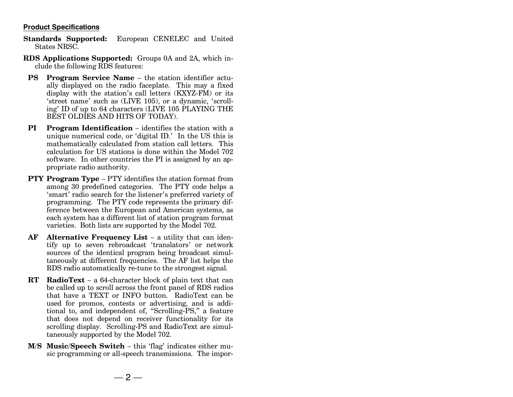#### **Product Specifications**

- **Standards Supported:** European CENELEC and United States NRSC.
- **RDS Applications Supported:** Groups 0A and 2A, which include the following RDS features:
- **PS** Program Service Name the station identifier actually displayed on the radio faceplate. This may a fixed display with the station's call letters  $(KXYZ-FM)$  or its 'street name' such as (LIVE 105), or a dynamic, 'scrolling' ID of up to 64 characters (LIVE 105 PLAYING THE BEST OLDIES AND HITS OF TODAY).
- **PI** Program Identification identifies the station with a unique numerical code, or 'digital ID.' In the US this is mathematically calculated from station call letters. This calculation for US stations is done within the Model 702 software. In other countries the PI is assigned by an appropriate radio authority.
- **PTY Program Type** PTY identifies the station format from among 30 predefined categories. The PTY code helps a 'smart' radio search for the listener's preferred variety of programming. The PTY code represents the primary difference between the European and American systems, as each system has a different list of station program format varieties. Both lists are supported by the Model 702.
- **AF** Alternative Frequency List a utility that can identify up to seven rebroadcast 'translators' or network sources of the identical program being broadcast simultaneously at different frequencies. The AF list helps the RDS radio automatically re-tune to the strongest signal.
- **RT** RadioText a 64-character block of plain text that can be called up to scroll across the front panel of RDS radios that have a TEXT or INFO button. RadioText can be used for promos, contests or advertising, and is additional to, and independent of, "Scrolling-PS," a feature that does not depend on receiver functionality for its scrolling display. Scrolling-PS and RadioText are simultaneously supported by the Model 702.
- **M/S Music/Speech Switch** this 'flag' indicates either music programming or all-speech transmissions. The impor-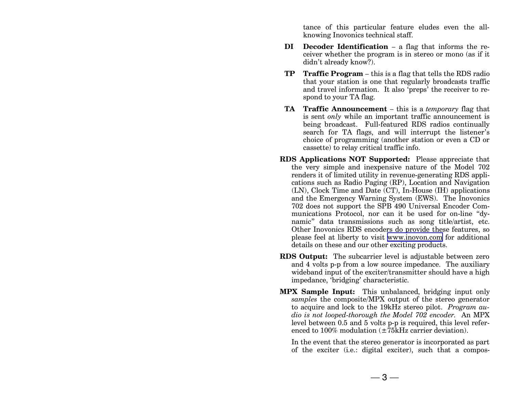tance of this particular feature eludes even the allknowing Inovonics technical staff.

- **DI** Decoder Identification  $-$  a flag that informs the receiver whether the program is in stereo or mono (as if it didn't already know?).
- **TP** Traffic Program this is a flag that tells the RDS radio that your station is one that regularly broadcasts traffic and travel information. It also 'preps' the receiver to respond to your TA flag.
- **TA** Traffic Announcement this is a *temporary* flag that is sent *only* while an important traffic announcement is being broadcast. Full-featured RDS radios continually search for TA flags, and will interrupt the listener's choice of programming (another station or even a CD or cassette) to relay critical traffic info.
- **RDS Applications NOT Supported:** Please appreciate that the very simple and inexpensive nature of the Model 702 renders it of limited utility in revenue-generating RDS applications such as Radio Paging (RP), Location and Navigation (LN), Clock Time and Date (CT), In-House (IH) applications and the Emergency Warning System (EWS). The Inovonics 702 does not support the SPB 490 Universal Encoder Communications Protocol, nor can it be used for on-line "dynamic" data transmissions such as song title/artist, etc. Other Inovonics RDS encoders do provide these features, so please feel at liberty to visit [www.inovon.com](http://www.inovon.com) for additional details on these and our other exciting products.
- **RDS Output:** The subcarrier level is adjustable between zero and 4 volts p-p from a low source impedance. The auxiliary wideband input of the exciter/transmitter should have a high impedance, 'bridging' characteristic.
- **MPX Sample Input:** This unbalanced, bridging input only *samples* the composite/MPX output of the stereo generator to acquire and lock to the 19kHz stereo pilot. *Program audio is not looped-thorough the Model 702 encoder.* An MPX level between 0.5 and 5 volts p-p is required, this level referenced to 100% modulation  $(\pm 75$ <sub>KHz</sub> carrier deviation).

In the event that the stereo generator is incorporated as part of the exciter (i.e.: digital exciter), such that a compos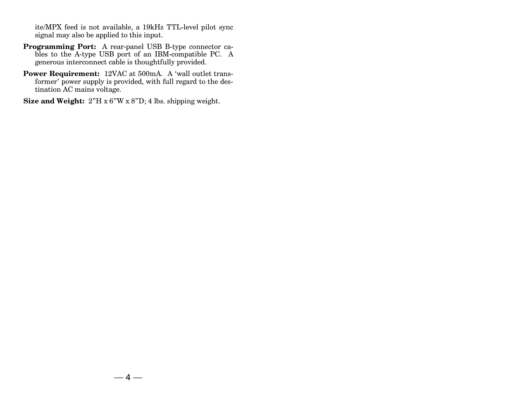ite/MPX feed is not available, a 19kHz TTL-level pilot sync signal may also be applied to this input.

- **Programming Port:** A rear-panel USB B-type connector cables to the A-type USB port of an IBM-compatible PC. A generous interconnect cable is thoughtfully provided.
- **Power Requirement:** 12VAC at 500mA. A 'wall outlet transformer' power supply is provided, with full regard to the destination AC mains voltage.

**Size and Weight:**  $2^{\nu}H \times 6^{\nu}W \times 8^{\nu}D$ ; 4 lbs. shipping weight.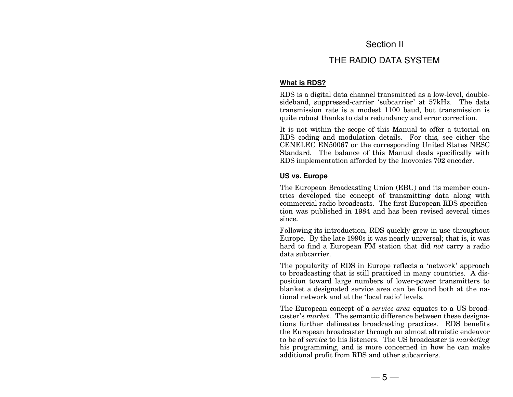### Section II

## THE RADIO DATA SYSTEM

#### **What is RDS?**

RDS is a digital data channel transmitted as a low-level, doublesideband, suppressed-carrier 'subcarrier' at 57kHz. The data transmission rate is a modest 1100 baud, but transmission is quite robust thanks to data redundancy and error correction.

It is not within the scope of this Manual to offer a tutorial on RDS coding and modulation details. For this, see either the CENELEC EN50067 or the corresponding United States NRSC Standard. The balance of this Manual deals specifically with RDS implementation afforded by the Inovonics 702 encoder.

#### **US vs. Europe**

The European Broadcasting Union (EBU) and its member countries developed the concept of transmitting data along with commercial radio broadcasts. The first European RDS specification was published in 1984 and has been revised several times since.

Following its introduction, RDS quickly grew in use throughout Europe. By the late 1990s it was nearly universal; that is, it was hard to find a European FM station that did *not* carry a radio data subcarrier.

The popularity of RDS in Europe reflects a 'network' approach to broadcasting that is still practiced in many countries. A disposition toward large numbers of lower-power transmitters to blanket a designated service area can be found both at the national network and at the 'local radio' levels.

The European concept of a *service area* equates to a US broadcaster's *market*. The semantic difference between these designations further delineates broadcasting practices. RDS benefits the European broadcaster through an almost altruistic endeavor to be of *service* to his listeners. The US broadcaster is *marketing* his programming, and is more concerned in how he can make additional profit from RDS and other subcarriers.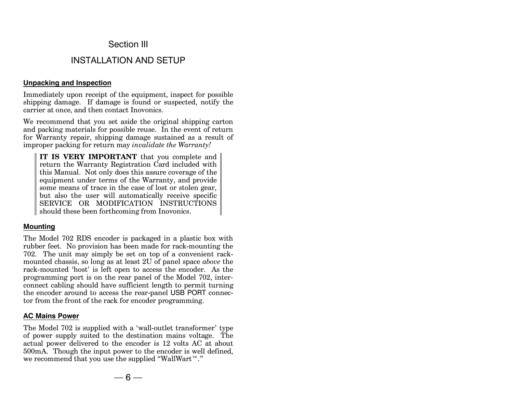#### Section III

### INSTALLATION AND SETUP

#### **Unpacking and Inspection**

Immediately upon receipt of the equipment, inspect for possible shipping damage. If damage is found or suspected, notify the carrier at once, and then contact Inovonics.

We recommend that you set aside the original shipping carton and packing materials for possible reuse. In the event of return for Warranty repair, shipping damage sustained as a result of improper packing for return may *invalidate the Warranty!*

**IT IS VERY IMPORTANT** that you complete and return the Warranty Registration Card included with this Manual. Not only does this assure coverage of the equipment under terms of the Warranty, and provide some means of trace in the case of lost or stolen gear, but also the user will automatically receive specific SERVICE OR MODIFICATION INSTRUCTIONS should these been forthcoming from Inovonics.

#### **Mounting**

The Model 702 RDS encoder is packaged in a plastic box with rubber feet. No provision has been made for rack-mounting the 702. The unit may simply be set on top of a convenient rackmounted chassis, so long as at least 2U of panel space *above* the rack-mounted 'host' is left open to access the encoder. As the programming port is on the rear panel of the Model 702, interconnect cabling should have sufficient length to permit turning the encoder around to access the rear-panel USB PORT connector from the front of the rack for encoder programming.

#### **AC Mains Power**

The Model 702 is supplied with a 'wall-outlet transformer' type of power supply suited to the destination mains voltage. The actual power delivered to the encoder is 12 volts AC at about 500mA. Though the input power to the encoder is well defined, we recommend that you use the supplied "WallWart"."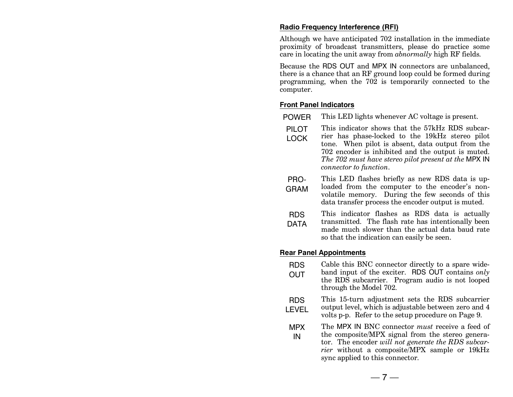#### **Radio Frequency Interference (RFI)**

Although we have anticipated 702 installation in the immediate proximity of broadcast transmitters, please do practice some care in locating the unit away from *abnormally* high RF fields.

Because the RDS OUT and MPX IN connectors are unbalanced, there is a chance that an RF ground loop could be formed during programming, when the 702 is temporarily connected to the computer.

#### **Front Panel Indicators**

- POWER This LED lights whenever AC voltage is present.
- PILOT This indicator shows that the 57kHz RDS subcar-
- LOCK rier has phase-locked to the 19kHz stereo pilot tone. When pilot is absent, data output from the 702 encoder is inhibited and the output is muted. *The 702 must have stereo pilot present at the* MPX IN *connector to function*.
- PRO-GRAM This LED flashes briefly as new RDS data is uploaded from the computer to the encoder's nonvolatile memory. During the few seconds of this data transfer process the encoder output is muted.
- RDS DATA This indicator flashes as RDS data is actually transmitted. The flash rate has intentionally been made much slower than the actual data baud rate so that the indication can easily be seen.

#### **Rear Panel Appointments**

- RDS **OUT** Cable this BNC connector directly to a spare wideband input of the exciter. RDS OUT contains *only* the RDS subcarrier. Program audio is not looped
- through the Model 702.
- RDS LEVEL This 15-turn adjustment sets the RDS subcarrier output level, which is adjustable between zero and 4 volts p-p. Refer to the setup procedure on Page 9.
- MPX IN The MPX IN BNC connector *must* receive a feed of the composite/MPX signal from the stereo generator. The encoder *will not generate the RDS subcarrier* without a composite/MPX sample or 19kHz sync applied to this connector.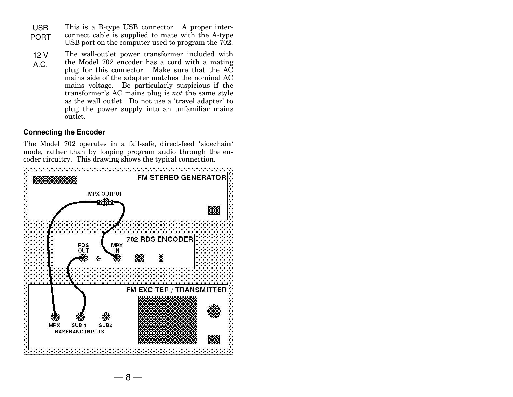- USB PORT This is a B-type USB connector. A proper interconnect cable is supplied to mate with the A-type USB port on the computer used to program the 702.
- 12 V A.C. The wall-outlet power transformer included with the Model 702 encoder has a cord with a mating plug for this connector. Make sure that the  $A\overline{C}$ mains side of the adapter matches the nominal AC mains voltage. Be particularly suspicious if the transformer's AC mains plug is *not* the same style as the wall outlet. Do not use a 'travel adapter' to plug the power supply into an unfamiliar mains outlet.

#### **Connecting the Encoder**

The Model 702 operates in a fail-safe, direct-feed 'sidechain' mode, rather than by looping program audio through the encoder circuitry. This drawing shows the typical connection.

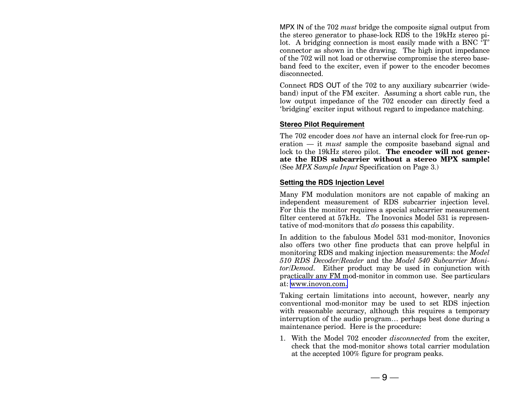MPX IN of the 702 *must* bridge the composite signal output from the stereo generator to phase-lock RDS to the 19kHz stereo pilot. A bridging connection is most easily made with a BNC  $T$ . connector as shown in the drawing. The high input impedance of the 702 will not load or otherwise compromise the stereo baseband feed to the exciter, even if power to the encoder becomes disconnected.

Connect RDS OUT of the 702 to any auxiliary subcarrier (wideband) input of the FM exciter. Assuming a short cable run, the low output impedance of the 702 encoder can directly feed a 'bridging' exciter input without regard to impedance matching.

#### **Stereo Pilot Requirement**

The 702 encoder does *not* have an internal clock for free-run operation – it *must* sample the composite baseband signal and lock to the 19kHz stereo pilot. **The encoder will not generate the RDS subcarrier without a stereo MPX sample!** (See *MPX Sample Input* Specification on Page 3.)

#### **Setting the RDS Injection Level**

Many FM modulation monitors are not capable of making an independent measurement of RDS subcarrier injection level. For this the monitor requires a special subcarrier measurement filter centered at 57kHz. The Inovonics Model 531 is representative of mod-monitors that *do* possess this capability.

In addition to the fabulous Model 531 mod-monitor, Inovonics also offers two other fine products that can prove helpful in monitoring RDS and making injection measurements: the *Model 510 RDS Decoder/Reader* and the *Model 540 Subcarrier Monitor/Demod.* Either product may be used in conjunction with practically any FM mod-monitor in common use. See particulars at: [www.inovon.com.](http://www.inovon.com.)

Taking certain limitations into account, however, nearly any conventional mod-monitor may be used to set RDS injection with reasonable accuracy, although this requires a temporary interruption of the audio program... perhaps best done during a maintenance period. Here is the procedure:

1. With the Model 702 encoder *disconnected* from the exciter, check that the mod-monitor shows total carrier modulation at the accepted 100% figure for program peaks.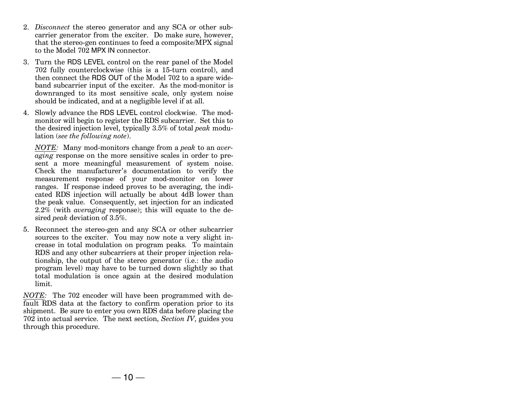- 2. *Disconnect* the stereo generator and any SCA or other subcarrier generator from the exciter. Do make sure, however, that the stereo-gen continues to feed a composite/MPX signal to the Model 702 MPX IN connector.
- 3. Turn the RDS LEVEL control on the rear panel of the Model 702 fully counterclockwise (this is a 15-turn control), and then connect the RDS OUT of the Model 702 to a spare wideband subcarrier input of the exciter. As the mod-monitor is downranged to its most sensitive scale, only system noise should be indicated, and at a negligible level if at all.
- 4. Slowly advance the RDS LEVEL control clockwise. The modmonitor will begin to register the RDS subcarrier. Set this to the desired injection level, typically 3.5% of total *peak* modulation (*see the following note*).

*NOTE:* Many mod-monitors change from a *peak* to an *averaging* response on the more sensitive scales in order to present a more meaningful measurement of system noise. Check the manufacturer's documentation to verify the measurement response of your mod-monitor on lower ranges. If response indeed proves to be averaging, the indicated RDS injection will actually be about 4dB lower than the peak value. Consequently, set injection for an indicated 2.2% (with *averaging* response); this will equate to the desired *peak* deviation of 3.5%.

5. Reconnect the stereo-gen and any SCA or other subcarrier sources to the exciter. You may now note a very slight increase in total modulation on program peaks. To maintain RDS and any other subcarriers at their proper injection relationship, the output of the stereo generator (i.e.: the audio program level) may have to be turned down slightly so that total modulation is once again at the desired modulation limit.

*NOTE:* The 702 encoder will have been programmed with default RDS data at the factory to confirm operation prior to its shipment. Be sure to enter you own RDS data before placing the 702 into actual service. The next section, *Section IV*, guides you through this procedure.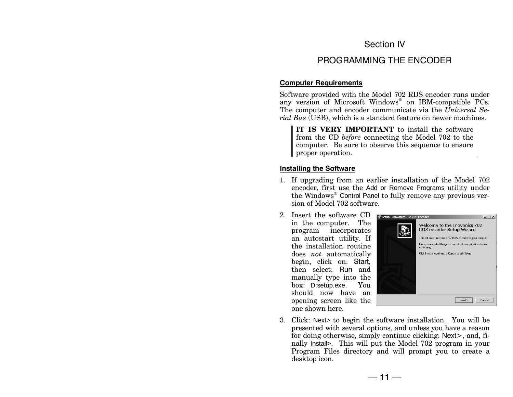### Section IV

## PROGRAMMING THE ENCODER

#### **Computer Requirements**

Software provided with the Model 702 RDS encoder runs under any version of Microsoft Windows® on IBM-compatible PCs. The computer and encoder communicate via the *Universal Serial Bus* (USB), which is a standard feature on newer machines.

**IT IS VERY IMPORTANT** to install the software from the CD *before* connecting the Model 702 to the computer. Be sure to observe this sequence to ensure proper operation.

#### **Installing the Software**

- 1. If upgrading from an earlier installation of the Model 702 encoder, first use the Add or Remove Programs utility under the Windows® Control Panel to fully remove any previous version of Model 702 software.
- 2. Insert the software CD in the computer. The program incorporates an autostart utility. If the installation routine does *not* automatically begin, click on: Start, then select: Run and manually type into the box: D:setup.exe. You should now have an opening screen like the one shown here.



3. Click: Next> to begin the software installation. You will be presented with several options, and unless you have a reason for doing otherwise, simply continue clicking: Next>, and, finally Install>. This will put the Model 702 program in your Program Files directory and will prompt you to create a desktop icon.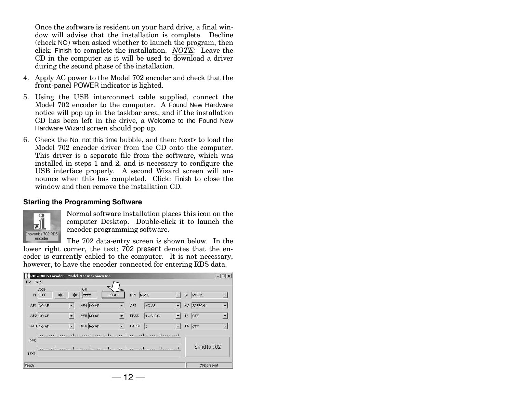Once the software is resident on your hard drive, a final window will advise that the installation is complete. Decline (check NO) when asked whether to launch the program, then click: Finish to complete the installation. *NOTE:* Leave the CD in the computer as it will be used to download a driver during the second phase of the installation.

- 4. Apply AC power to the Model 702 encoder and check that the front-panel POWER indicator is lighted.
- 5. Using the USB interconnect cable supplied, connect the Model 702 encoder to the computer. A Found New Hardware notice will pop up in the taskbar area, and if the installation CD has been left in the drive, a Welcome to the Found New Hardware Wizard screen should pop up.
- 6. Check the No, not this time bubble, and then: Next> to load the Model 702 encoder driver from the CD onto the computer. This driver is a separate file from the software, which was installed in steps 1 and 2, and is necessary to configure the USB interface properly. A second Wizard screen will announce when this has completed. Click: Finish to close the window and then remove the installation CD.

#### **Starting the Programming Software**



Normal software installation places this icon on the computer Desktop. Double-click it to launch the encoder programming software.

The 702 data-entry screen is shown below. In the lower right corner, the text: 702 present denotes that the encoder is currently cabled to the computer. It is not necessary, however, to have the encoder connected for entering RDS data.

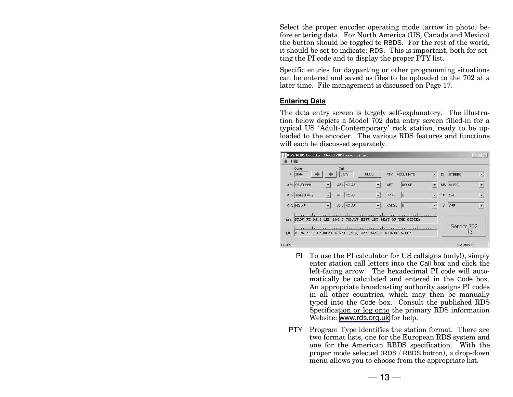Select the proper encoder operating mode (arrow in photo) before entering data. For North America (US, Canada and Mexico) the button should be toggled to RBDS. For the rest of the world, it should be set to indicate: RDS. This is important, both for setting the PI code and to display the proper PTY list.

Specific entries for dayparting or other programming situations can be entered and saved as files to be uploaded to the 702 at a later time. File management is discussed on Page 17.

#### **Entering Data**

The data entry screen is largely self-explanatory. The illustration below depicts a Model 702 data entry screen filled-in for a typical US 'Adult-Contemporary' rock station, ready to be uploaded to the encoder. The various RDS features and functions will each be discussed separately.

|           | RDS/RBDS Encoder - Model 702 Inovonics Inc.                |                                                               |                           |    |             | $  $ $\Box$   $\times$ |
|-----------|------------------------------------------------------------|---------------------------------------------------------------|---------------------------|----|-------------|------------------------|
| File Help |                                                            |                                                               |                           |    |             |                        |
|           | Code<br>PI 3D44                                            | Call<br>KRDS<br><b>RBDS</b>                                   | ADULT HITS<br>PTY         | DI | STEREO      | ▼                      |
|           | AF1 95.30 MHz                                              | AF4 NO AF                                                     | NO AF<br>AF7              |    | MS MUSIC    |                        |
|           | AF2 104.70 MHz                                             | AF5 NO AF                                                     | <b>DPSS</b><br>$\sqrt{5}$ | TP | ON          | $\blacktriangledown$   |
|           | AF3 NO AF                                                  | AF6 NO AF                                                     | <b>PARSE</b><br> 0        |    | TA OFF      |                        |
|           |                                                            | DPS KRDS-FM 95.3 AND 104.7 TODAYS HITS AND BEST OF THE OLDIES |                           |    |             |                        |
|           | TEXT KRDS-FM - REQUEST LINE: (704) 555-9530 - WWW.KRDS.COM |                                                               |                           |    | Send to 702 |                        |
| Ready     |                                                            |                                                               |                           |    | 702 present |                        |

- PI To use the PI calculator for US callsigns (only!), simply enter station call letters into the Call box and click the left-facing arrow. The hexadecimal PI code will automatically be calculated and entered in the Code box. An appropriate broadcasting authority assigns PI codes in all other countries, which may then be manually typed into the Code box. Consult the published RDS Specification or log onto the primary RDS information Website: [www.rds.org.uk](http://www.rds.org.uk) for help.
- PTY Program Type identifies the station format. There are two format lists, one for the European RDS system and one for the American RBDS specification. With the proper mode selected (RDS / RBDS button), a drop-down menu allows you to choose from the appropriate list.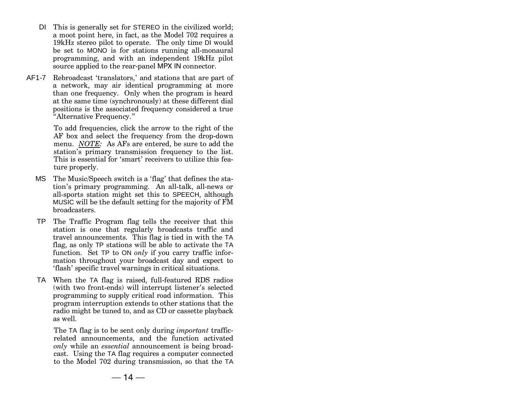- DI This is generally set for STEREO in the civilized world; a moot point here, in fact, as the Model 702 requires a 19kHz stereo pilot to operate. The only time DI would be set to MONO is for stations running all-monaural programming, and with an independent 19kHz pilot source applied to the rear-panel MPX IN connector.
- AF1-7 Rebroadcast 'translators,' and stations that are part of a network, may air identical programming at more than one frequency. Only when the program is heard at the same time (synchronously) at these different dial positions is the associated frequency considered a true Alternative Frequency.

To add frequencies, click the arrow to the right of the AF box and select the frequency from the drop-down menu. *NOTE:* As AFs are entered, be sure to add the station's primary transmission frequency to the list. This is essential for 'smart' receivers to utilize this feature properly.

- MS The Music/Speech switch is a 'flag' that defines the station's primary programming. An all-talk, all-news or all-sports station might set this to SPEECH, although MUSIC will be the default setting for the majority of FM broadcasters.
- TP The Traffic Program flag tells the receiver that this station is one that regularly broadcasts traffic and travel announcements. This flag is tied in with the TA flag, as only TP stations will be able to activate the TA function. Set TP to ON *only* if you carry traffic information throughout your broadcast day and expect to 'flash' specific travel warnings in critical situations.
- TA When the TA flag is raised, full-featured RDS radios (with two front-ends) will interrupt listener's selected programming to supply critical road information. This program interruption extends to other stations that the radio might be tuned to, and as CD or cassette playback as well.

The TA flag is to be sent only during *important* trafficrelated announcements, and the function activated *only* while an *essential* announcement is being broadcast. Using the TA flag requires a computer connected to the Model 702 during transmission, so that the TA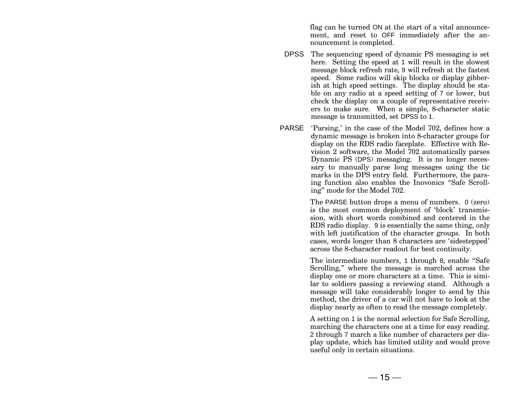flag can be turned ON at the start of a vital announcement, and reset to OFF immediately after the announcement is completed.

- DPSS The sequencing speed of dynamic PS messaging is set here. Setting the speed at 1 will result in the slowest message block refresh rate, 9 will refresh at the fastest speed. Some radios will skip blocks or display gibberish at high speed settings. The display should be stable on any radio at a speed setting of 7 or lower, but check the display on a couple of representative receivers to make sure. When a simple, 8-character static message is transmitted, set DPSS to 1.
- PARSE 'Parsing,' in the case of the Model 702, defines how a dynamic message is broken into 8-character groups for display on the RDS radio faceplate. Effective with Revision 2 software, the Model 702 automatically parses Dynamic PS (DPS) messaging. It is no longer necessary to manually parse long messages using the tic marks in the DPS entry field. Furthermore, the parsing function also enables the Inovonics "Safe Scrolling" mode for the Model 702.

The PARSE button drops a menu of numbers. 0 (zero) is the most common deployment of 'block' transmission, with short words combined and centered in the RDS radio display. 9 is essentially the same thing, only with left justification of the character groups. In both cases, words longer than 8 characters are 'sidestepped' across the 8-character readout for best continuity.

The intermediate numbers, 1 through 8, enable "Safe" Scrolling," where the message is marched across the display one or more characters at a time. This is similar to soldiers passing a reviewing stand. Although a message will take considerably longer to send by this method, the driver of a car will not have to look at the display nearly as often to read the message completely.

A setting on 1 is the normal selection for Safe Scrolling, marching the characters one at a time for easy reading. 2 through 7 march a like number of characters per display update, which has limited utility and would prove useful only in certain situations.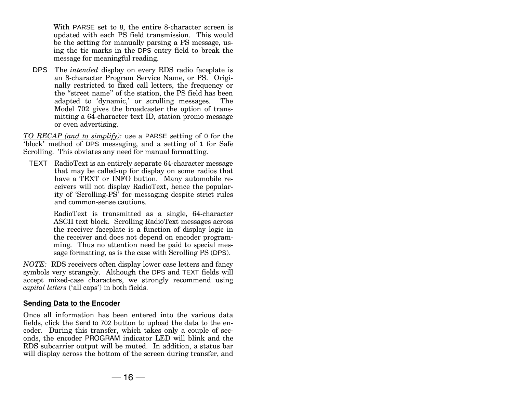With PARSE set to 8, the entire 8-character screen is updated with each PS field transmission. This would be the setting for manually parsing a PS message, using the tic marks in the DPS entry field to break the message for meaningful reading.

DPS The *intended* display on every RDS radio faceplate is an 8-character Program Service Name, or PS. Originally restricted to fixed call letters, the frequency or the "street name" of the station, the PS field has been adapted to 'dynamic,' or scrolling messages. The Model 702 gives the broadcaster the option of transmitting a 64-character text ID, station promo message or even advertising.

*TO RECAP (and to simplify):* use a PARSE setting of 0 for the block' method of DPS messaging, and a setting of 1 for Safe Scrolling. This obviates any need for manual formatting.

TEXT RadioText is an entirely separate 64-character message that may be called-up for display on some radios that have a TEXT or INFO button. Many automobile receivers will not display RadioText, hence the popularity of 'Scrolling-PS' for messaging despite strict rules and common-sense cautions.

> RadioText is transmitted as a single, 64-character ASCII text block. Scrolling RadioText messages across the receiver faceplate is a function of display logic in the receiver and does not depend on encoder programming. Thus no attention need be paid to special message formatting, as is the case with Scrolling PS (DPS).

*NOTE:* RDS receivers often display lower case letters and fancy symbols very strangely. Although the DPS and TEXT fields will accept mixed-case characters, we strongly recommend using *capital letters* ('all caps') in both fields.

#### **Sending Data to the Encoder**

Once all information has been entered into the various data fields, click the Send to 702 button to upload the data to the encoder. During this transfer, which takes only a couple of seconds, the encoder PROGRAM indicator LED will blink and the RDS subcarrier output will be muted. In addition, a status bar will display across the bottom of the screen during transfer, and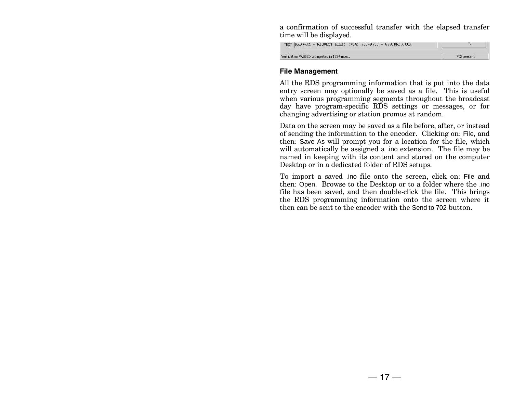a confirmation of successful transfer with the elapsed transfer time will be displayed.

| TEXT KRDS-FM - REQUEST LINE: (704) 555-9530 - WWW.KRDS.COM |             |
|------------------------------------------------------------|-------------|
|                                                            | 702 present |
| Verification PASSED , completed in 1234 msec.              |             |

#### **File Management**

All the RDS programming information that is put into the data entry screen may optionally be saved as a file. This is useful when various programming segments throughout the broadcast day have program-specific RDS settings or messages, or for changing advertising or station promos at random.

Data on the screen may be saved as a file before, after, or instead of sending the information to the encoder. Clicking on: File, and then: Save As will prompt you for a location for the file, which will automatically be assigned a .ino extension. The file may be named in keeping with its content and stored on the computer Desktop or in a dedicated folder of RDS setups.

To import a saved .ino file onto the screen, click on: File and then: Open. Browse to the Desktop or to a folder where the .ino file has been saved, and then double-click the file. This brings the RDS programming information onto the screen where it then can be sent to the encoder with the Send to 702 button.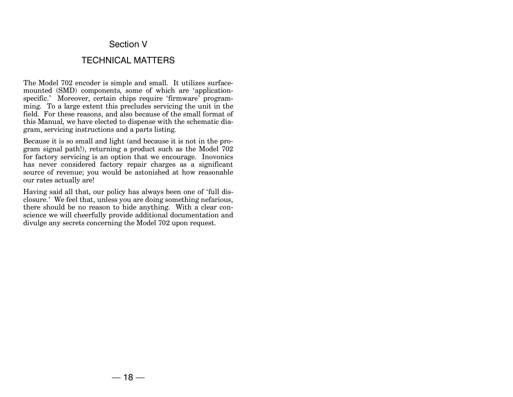#### Section V

#### TECHNICAL MATTERS

The Model 702 encoder is simple and small. It utilizes surfacemounted (SMD) components, some of which are 'applicationspecific.' Moreover, certain chips require 'firmware' programming. To a large extent this precludes servicing the unit in the field. For these reasons, and also because of the small format of this Manual, we have elected to dispense with the schematic diagram, servicing instructions and a parts listing.

Because it is so small and light (and because it is not in the program signal path!), returning a product such as the Model 702 for factory servicing is an option that we encourage. Inovonics has never considered factory repair charges as a significant source of revenue; you would be astonished at how reasonable our rates actually are!

Having said all that, our policy has always been one of 'full disclosure.' We feel that, unless you are doing something nefarious, there should be no reason to hide anything. With a clear conscience we will cheerfully provide additional documentation and divulge any secrets concerning the Model 702 upon request.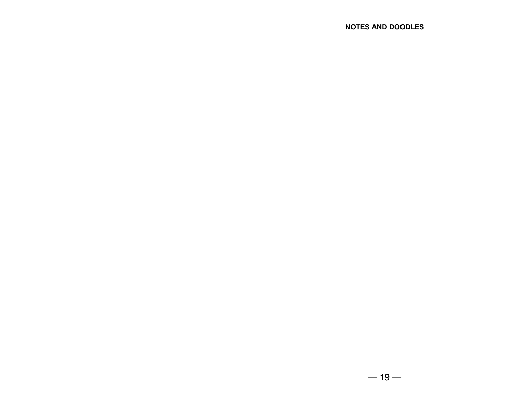#### **NOTES AND DOODLES**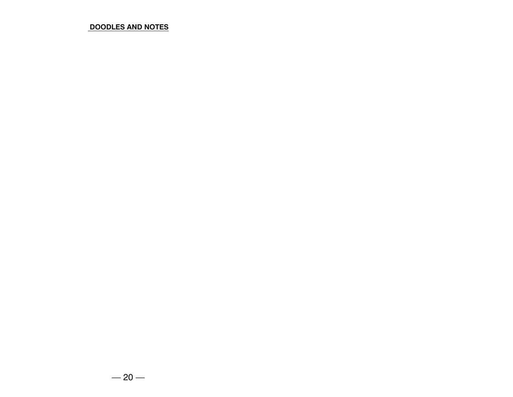#### **DOODLES AND NOTES**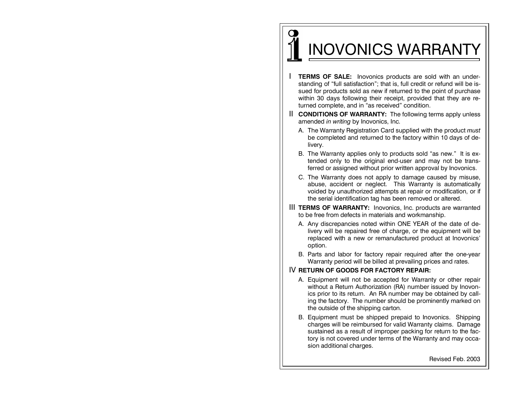# I INOVONICS WARRANTY

 $\mathbf \Omega$ 

- I **TERMS OF SALE:** Inovonics products are sold with an understanding of "full satisfaction"; that is, full credit or refund will be issued for products sold as new if returned to the point of purchase within 30 days following their receipt, provided that they are returned complete, and in "as received" condition.
- II **CONDITIONS OF WARRANTY:** The following terms apply unless amended *in writing* by Inovonics, Inc.
	- A. The Warranty Registration Card supplied with the product *must* be completed and returned to the factory within 10 days of delivery.
	- B. The Warranty applies only to products sold "as new." It is extended only to the original end-user and may not be transferred or assigned without prior written approval by Inovonics.
	- C. The Warranty does not apply to damage caused by misuse, abuse, accident or neglect. This Warranty is automatically voided by unauthorized attempts at repair or modification, or if the serial identification tag has been removed or altered.
- III **TERMS OF WARRANTY:** Inovonics, Inc. products are warranted to be free from defects in materials and workmanship.
	- A. Any discrepancies noted within ONE YEAR of the date of delivery will be repaired free of charge, or the equipment will be replaced with a new or remanufactured product at Inovonics option.
	- B. Parts and labor for factory repair required after the one-year Warranty period will be billed at prevailing prices and rates.

#### IV **RETURN OF GOODS FOR FACTORY REPAIR:**

- A. Equipment will not be accepted for Warranty or other repair without a Return Authorization (RA) number issued by Inovonics prior to its return. An RA number may be obtained by calling the factory. The number should be prominently marked on the outside of the shipping carton.
- B. Equipment must be shipped prepaid to Inovonics. Shipping charges will be reimbursed for valid Warranty claims. Damage sustained as a result of improper packing for return to the factory is not covered under terms of the Warranty and may occasion additional charges.

Revised Feb. 2003